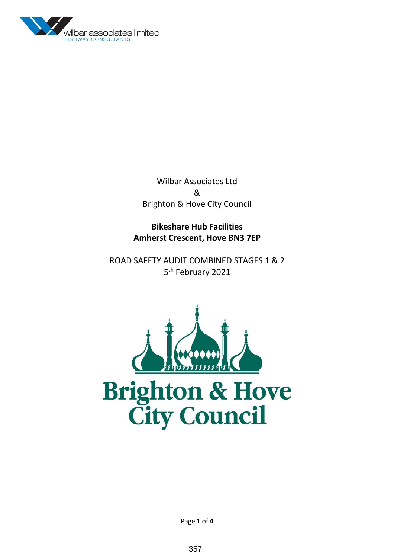

Wilbar Associates Ltd & Brighton & Hove City Council

**Bikeshare Hub Facilities Amherst Crescent, Hove BN3 7EP** 

ROAD SAFETY AUDIT COMBINED STAGES 1 & 2 5<sup>th</sup> February 2021



Page **1** of **4**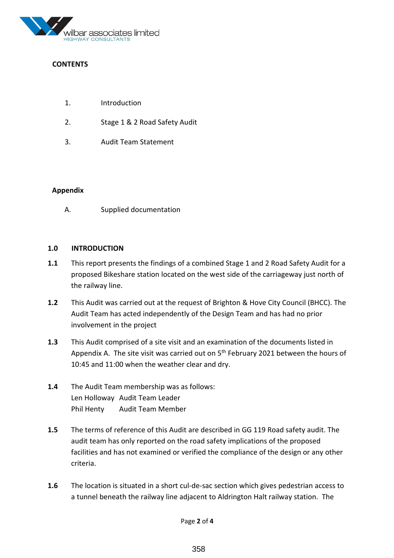

# **CONTENTS**

- 1. Introduction
- 2. Stage 1 & 2 Road Safety Audit
- 3. Audit Team Statement

## **Appendix**

A. Supplied documentation

## **1.0 INTRODUCTION**

- **1.1** This report presents the findings of a combined Stage 1 and 2 Road Safety Audit for a proposed Bikeshare station located on the west side of the carriageway just north of the railway line.
- **1.2** This Audit was carried out at the request of Brighton & Hove City Council (BHCC). The Audit Team has acted independently of the Design Team and has had no prior involvement in the project
- **1.3** This Audit comprised of a site visit and an examination of the documents listed in Appendix A. The site visit was carried out on  $5<sup>th</sup>$  February 2021 between the hours of 10:45 and 11:00 when the weather clear and dry.
- **1.4** The Audit Team membership was as follows: Len Holloway Audit Team Leader Phil Henty Audit Team Member
- **1.5** The terms of reference of this Audit are described in GG 119 Road safety audit. The audit team has only reported on the road safety implications of the proposed facilities and has not examined or verified the compliance of the design or any other criteria.
- **1.6** The location is situated in a short cul-de-sac section which gives pedestrian access to a tunnel beneath the railway line adjacent to Aldrington Halt railway station. The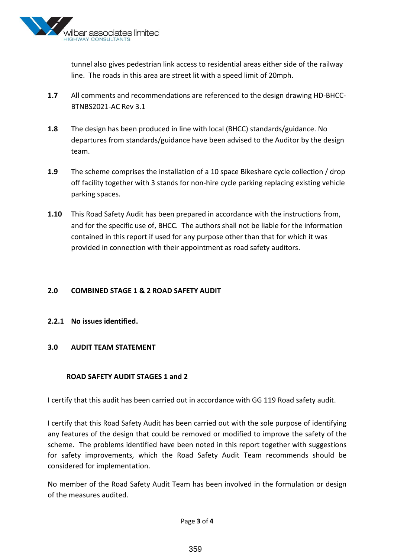

tunnel also gives pedestrian link access to residential areas either side of the railway line. The roads in this area are street lit with a speed limit of 20mph.

- **1.7** All comments and recommendations are referenced to the design drawing HD-BHCC-BTNBS2021-AC Rev 3.1
- **1.8** The design has been produced in line with local (BHCC) standards/guidance. No departures from standards/guidance have been advised to the Auditor by the design team.
- **1.9** The scheme comprises the installation of a 10 space Bikeshare cycle collection / drop off facility together with 3 stands for non-hire cycle parking replacing existing vehicle parking spaces.
- **1.10** This Road Safety Audit has been prepared in accordance with the instructions from, and for the specific use of, BHCC. The authors shall not be liable for the information contained in this report if used for any purpose other than that for which it was provided in connection with their appointment as road safety auditors.

#### **2.0 COMBINED STAGE 1 & 2 ROAD SAFETY AUDIT**

#### **2.2.1 No issues identified.**

#### **3.0 AUDIT TEAM STATEMENT**

#### **ROAD SAFETY AUDIT STAGES 1 and 2**

I certify that this audit has been carried out in accordance with GG 119 Road safety audit.

I certify that this Road Safety Audit has been carried out with the sole purpose of identifying any features of the design that could be removed or modified to improve the safety of the scheme. The problems identified have been noted in this report together with suggestions for safety improvements, which the Road Safety Audit Team recommends should be considered for implementation.

No member of the Road Safety Audit Team has been involved in the formulation or design of the measures audited.